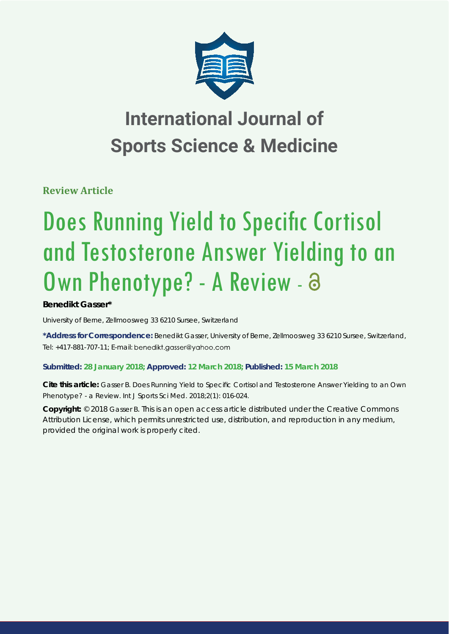

**Review Article**

# **Does Running Yield to Specific Cortisol** and Testosterone Answer Yielding to an Own Phenotype? - A Review - a

# **Benedikt Gasser\***

*University of Berne, Zellmoosweg 33 6210 Sursee, Switzerland*

**\*Address for Correspondence:** Benedikt Gasser, University of Berne, Zellmoosweg 33 6210 Sursee, Switzerland, Tel: +417-881-707-11; E-mail: benedikt.gasser@yahoo.com

# **Submitted: 28 January 2018; Approved: 12 March 2018; Published: 15 March 2018**

**Cite this article:** Gasser B. Does Running Yield to Specific Cortisol and Testosterone Answer Yielding to an Own Phenotype? - a Review. Int J Sports Sci Med. 2018;2(1): 016-024.

**Copyright:** © 2018 Gasser B. This is an open access article distributed under the Creative Commons Attribution License, which permits unrestricted use, distribution, and reproduction in any medium, provided the original work is properly cited.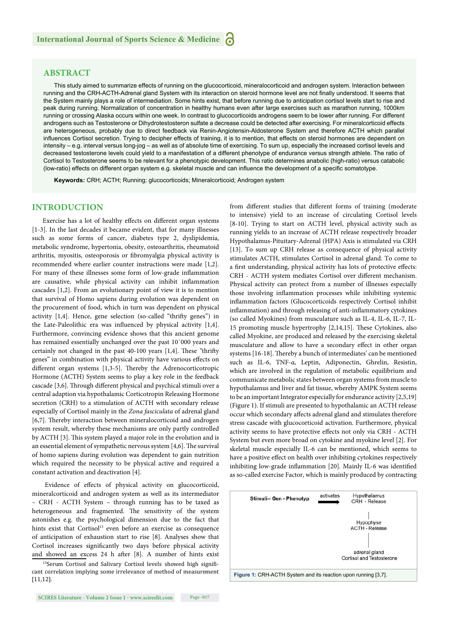## **ABSTRACT**

This study aimed to summarize effects of running on the glucocorticoid, mineralocorticoid and androgen system. Interaction between running and the CRH-ACTH-Adrenal gland System with its interaction on steroid hormone level are not finally understood. It seems that the System mainly plays a role of intermediation. Some hints exist, that before running due to anticipation cortisol levels start to rise and peak during running. Normalization of concentration in healthy humans even after large exercises such as marathon running, 1000km running or crossing Alaska occurs within one week. In contrast to glucocorticoids androgens seem to be lower after running. For different androgens such as Testosterone or Dihydrotestosteron sulfate a decrease could be detected after exercising. For mineralcorticoid effects are heterogeneous, probably due to direct feedback via Renin-Angiotensin-Aldosterone System and therefore ACTH which parallel influences Cortisol secretion. Trying to decipher effects of training, it is to mention, that effects on steroid hormones are dependent on intensity – e.g. interval versus long-jog – as well as of absolute time of exercising. To sum up, especially the increased cortisol levels and decreased testosterone levels could yield to a manifestation of a different phenotype of endurance versus strength athlete. The ratio of Cortisol to Testosterone seems to be relevant for a phenotypic development. This ratio determines anabolic (high-ratio) versus catabolic (low-ratio) effects on different organ system e.g. skeletal muscle and can influence the development of a specific somatotype.

**Keywords:** CRH; ACTH; Running; glucocorticoids; Mineralcorticoid; Androgen system

#### **INTRODUCTION**

Exercise has a lot of healthy effects on different organ systems [1-3]. In the last decades it became evident, that for many illnesses such as some forms of cancer, diabetes type 2, dyslipidemia, metabolic syndrome, hypertonia, obesity, osteoarthritis, rheumatoid arthritis, myositis, osteoporosis or fibromyalgia physical activity is recommended where earlier counter instructions were made [1,2]. For many of these illnesses some form of low-grade inflammation are causative, while physical activity can inhibit inflammation cascades [1,2]. From an evolutionary point of view it is to mention that survival of Homo sapiens during evolution was dependent on the procurement of food, which in turn was dependent on physical activity [1,4]. Hence, gene selection (so-called "thrifty genes") in the Late-Paleolithic era was influenced by physical activity  $[1,4]$ . Furthermore, convincing evidence shows that this ancient genome has remained essentially unchanged over the past 10´000 years and certainly not changed in the past 40-100 years [1,4]. These "thrifty" genes" in combination with physical activity have various effects on different organ systems [1,3-5]. Thereby the Adrenocorticotropic Hormone (ACTH) System seems to play a key role in the feedback cascade [3,6]. Through different physical and psychical stimuli over a central adaption via hypothalamic Corticotropin Releasing Hormone secretion (CRH) to a stimulation of ACTH with secondary release especially of Cortisol mainly in the *Zona fasciculata* of adrenal gland [6,7]. Thereby interaction between mineralocorticoid and androgen system result, whereby these mechanisms are only partly controlled by ACTH [3]. This system played a major role in the evolution and is an essential element of sympathetic nervous system  $[4,6]$ . The survival of homo sapiens during evolution was dependent to gain nutrition which required the necessity to be physical active and required a constant activation and deactivation [4].

Evidence of effects of physical activity on glucocorticoid, mineralcorticoid and androgen system as well as its intermediator – CRH - ACTH System – through running has to be taxed as heterogeneous and fragmented. The sensitivity of the system astonishes e.g. the psychological dimension due to the fact that hints exist that Cortisol<sup>13</sup> even before an exercise as consequence of anticipation of exhaustion start to rise [8]. Analyses show that Cortisol increases significantly two days before physical activity and showed an excess  $24$  h after [8]. A number of hints exist

13Serum Cortisol and Salivary Cortisol levels showed high significant correlation implying some irrelevance of method of measurement [11,12].

from different studies that different forms of training (moderate to intensive) yield to an increase of circulating Cortisol levels [8-10]. Trying to start on ACTH level, physical activity such as running yields to an increase of ACTH release respectively broader Hypothalamus-Pituitary-Adrenal (HPA) Axis is stimulated via CRH [13]. To sum up CRH release as consequence of physical activity stimulates ACTH, stimulates Cortisol in adrenal gland. To come to a first understanding, physical activity has lots of protective effects: CRH - ACTH system mediates Cortisol over different mechanism. Physical activity can protect from a number of illnesses especially those involving inflammation processes while inhibiting systemic inflammation factors (Glucocorticoids respectively Cortisol inhibit inflammation) and through releasing of anti-inflammatory cytokines (so called Myokines) from musculature such as IL-4, IL-6, IL-7, IL-15 promoting muscle hypertrophy [2,14,15]. These Cytokines, also called Myokine, are produced and released by the exercising skeletal musculature and allow to have a secondary effect in other organ systems [16-18]. Thereby a bunch of intermediates' can be mentioned such as IL-6, TNF-α, Leptin, Adiponectin, Ghrelin, Resistin, which are involved in the regulation of metabolic equilibrium and communicate metabolic states between organ systems from muscle to hypothalamus and liver and fat tissue, whereby AMPK System seems to be an important Integrator especially for endurance activity [2,5,19] (Figure 1). If stimuli are presented to hypothalamic an ACTH release occur which secondary affects adrenal gland and stimulates therefore stress cascade with glucocorticoid activation. Furthermore, physical activity seems to have protective effects not only via CRH - ACTH System but even more broad on cytokine and myokine level [2]. For skeletal muscle especially IL-6 can be mentioned, which seems to have a positive effect on health over inhibiting cytokines respectively inhibiting low-grade inflammation [20]. Mainly IL-6 was identified as so-called exercise Factor, which is mainly produced by contracting

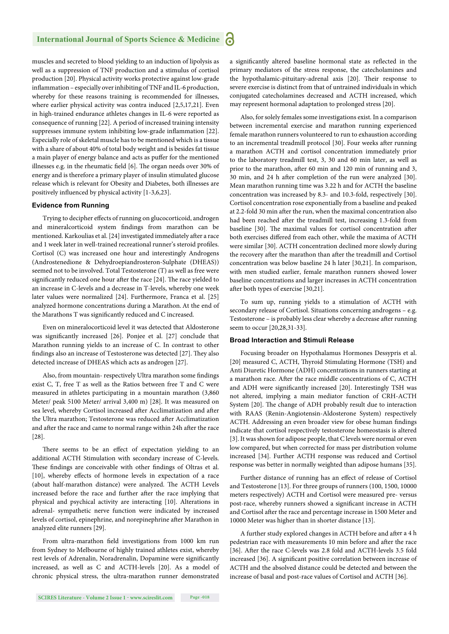muscles and secreted to blood yielding to an induction of lipolysis as well as a suppression of TNF production and a stimulus of cortisol production [20]. Physical activity works protective against low-grade inflammation - especially over inhibiting of TNF and IL-6 production, whereby for these reasons training is recommended for illnesses, where earlier physical activity was contra induced [2,5,17,21]. Even in high-trained endurance athletes changes in IL-6 were reported as consequence of running [22]. A period of increased training intensity suppresses immune system inhibiting low-grade inflammation [22]. Especially role of skeletal muscle has to be mentioned which is a tissue with a share of about 40% of total body weight and is besides fat tissue a main player of energy balance and acts as puffer for the mentioned illnesses e.g. in the rheumatic field [6]. The organ needs over 30% of energy and is therefore a primary player of insulin stimulated glucose release which is relevant for Obesity and Diabetes, both illnesses are positively influenced by physical activity [1-3,6,23].

#### **Evidence from Running**

Trying to decipher effects of running on glucocorticoid, androgen and mineralcorticoid system findings from marathon can be mentioned. Karkoulias et al. [24] investigated immediately after a race and 1 week later in well-trained recreational runner's steroid profiles. Cortisol (C) was increased one hour and interestingly Androgens (Androstenedione & Dehydroepiandrosteron-Sulphate (DHEAS)) seemed not to be involved. Total Testosterone (T) as well as free were significantly reduced one hour after the race [24]. The race yielded to an increase in C-levels and a decrease in T-levels, whereby one week later values were normalized [24]. Furthermore, Franca et al. [25] analyzed hormone concentrations during a Marathon.At the end of the Marathons T was significantly reduced and C increased.

Even on mineralocorticoid level it was detected that Aldosterone was significantly increased [26]. Ponjee et al. [27] conclude that Marathon running yields to an increase of C. In contrast to other findings also an increase of Testosterone was detected [27]. They also detected increase of DHEAS which acts as androgen [27].

Also, from mountain- respectively Ultra marathon some findings exist C, T, free T as well as the Ratios between free T and C were measured in athletes participating in a mountain marathon (3,860 Meter/ peak 5100 Meter/ arrival 3,400 m) [28]. It was measured on sea level, whereby Cortisol increased after Acclimatization and after the Ultra marathon; Testosterone was reduced after Acclimatization and after the race and came to normal range within 24h after the race [28].

There seems to be an effect of expectation yielding to an additional ACTH Stimulation with secondary increase of C-levels. These findings are conceivable with other findings of Oltras et al. [10], whereby effects of hormone levels in expectation of a race (about half-marathon distance) were analyzed. The ACTH Levels increased before the race and further after the race implying that physical and psychical activity are interacting [10]. Alterations in adrenal- sympathetic nerve function were indicated by increased levels of cortisol, epinephrine, and norepinephrine after Marathon in analyzed elite runners [29].

From ultra-marathon field investigations from 1000 km run from Sydney to Melbourne of highly trained athletes exist, whereby rest levels of Adrenalin, Noradrenalin, Dopamine were significantly increased, as well as C and ACTH-levels [20]. As a model of chronic physical stress, the ultra-marathon runner demonstrated a significantly altered baseline hormonal state as reflected in the primary mediators of the stress response, the catecholamines and the hypothalamic-pituitary-adrenal axis [20]. Their response to severe exercise is distinct from that of untrained individuals in which conjugated catecholamines decreased and ACTH increased, which may represent hormonal adaptation to prolonged stress [20].

Also, for solely females some investigations exist. In a comparison between incremental exercise and marathon running experienced female marathon runners volunteered to run to exhaustion according to an incremental treadmill protocol [30]. Four weeks after running a marathon ACTH and cortisol concentration immediately prior to the laboratory treadmill test, 3, 30 and 60 min later, as well as prior to the marathon, after 60 min and 120 min of running and 3, 30 min, and 24 h after completion of the run were analyzed [30]. Mean marathon running time was 3.22 h and for ACTH the baseline concentration was increased by 8.3- and 10.3-fold, respectively [30]. Cortisol concentration rose exponentially from a baseline and peaked at 2.2-fold 30 min after the run, when the maximal concentration also had been reached after the treadmill test, increasing 1.3-fold from baseline [30]. The maximal values for cortisol concentration after both exercises differed from each other, while the maxima of ACTH were similar [30]. ACTH concentration declined more slowly during the recovery after the marathon than after the treadmill and Cortisol concentration was below baseline 24 h later [30,21]. In comparison, with men studied earlier, female marathon runners showed lower baseline concentrations and larger increases in ACTH concentration after both types of exercise [30,21].

To sum up, running yields to a stimulation of ACTH with secondary release of Cortisol. Situations concerning androgens – e.g. Testosterone - is probably less clear whereby a decrease after running seem to occur [20,28,31-33].

#### **Broad Interaction and Stimuli Release**

Focusing broader on Hypothalamus Hormones Dessypris et al. [20] measured C, ACTH, Thyroid Stimulating Hormone (TSH) and Anti Diuretic Hormone (ADH) concentrations in runners starting at a marathon race. After the race middle concentrations of C, ACTH and ADH were significantly increased [20]. Interestingly TSH was not altered, implying a main mediator function of CRH-ACTH System [20]. The change of ADH probably result due to interaction with RAAS (Renin-Angiotensin-Aldosterone System) respectively ACTH. Addressing an even broader view for obese human findings indicate that cortisol respectively testosterone homeostasis is altered [3]. It was shown for adipose people, that C levels were normal or even low compared, but when corrected for mass per distribution volume increased [34]. Further ACTH response was reduced and Cortisol response was better in normally weighted than adipose humans [35].

Further distance of running has an effect of release of Cortisol and Testosterone [13]. For three groups of runners (100, 1500, 10000 meters respectively) ACTH and Cortisol were measured pre- versus post-race, whereby runners showed a significant increase in ACTH and Cortisol after the race and percentage increase in 1500 Meter and 10000 Meter was higher than in shorter distance [13].

A further study explored changes in ACTH before and after a 4 h pedestrian race with measurements 10 min before and after the race [36]. After the race C-levels was 2.8 fold and ACTH-levels 3.5 fold increased [36]. A significant positive correlation between increase of ACTH and the absolved distance could be detected and between the increase of basal and post-race values of Cortisol and ACTH [36].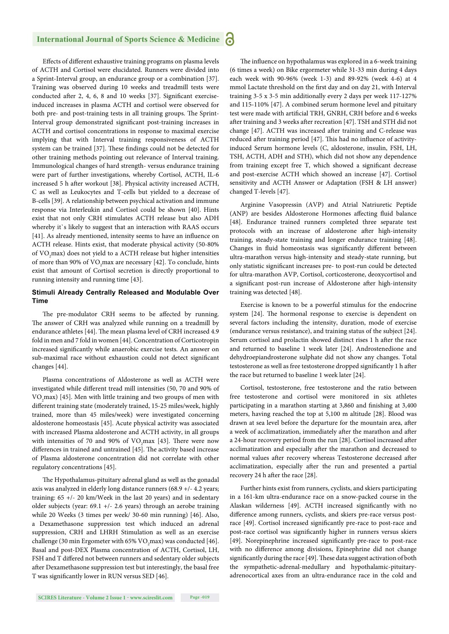Effects of different exhaustive training programs on plasma levels of ACTH and Cortisol were elucidated. Runners were divided into a Sprint-Interval group, an endurance group or a combination [37]. Training was observed during 10 weeks and treadmill tests were conducted after 2, 4, 6, 8 and 10 weeks [37]. Significant exerciseinduced increases in plasma ACTH and cortisol were observed for both pre- and post-training tests in all training groups. The Sprint-Interval group demonstrated significant post-training increases in ACTH and cortisol concentrations in response to maximal exercise implying that with Interval training responsiveness of ACTH system can be trained [37]. These findings could not be detected for other training methods pointing out relevance of Interval training. Immunological changes of hard strength- versus endurance training were part of further investigations, whereby Cortisol, ACTH, IL-6 increased 5 h after workout [38]. Physical activity increased ACTH, C as well as Leukocytes and T-cells but yielded to a decrease of B-cells [39]. A relationship between psychical activation and immune response via Interleukin and Cortisol could be shown [40]. Hints exist that not only CRH stimulates ACTH release but also ADH whereby it's likely to suggest that an interaction with RAAS occurs [41]. As already mentioned, intensity seems to have an influence on ACTH release. Hints exist, that moderate physical activity (50-80% of  $\rm VO_{2}$ max) does not yield to a ACTH release but higher intensities of more than 90% of  $\rm VO_{2}$ max are necessary [42]. To conclude, hints exist that amount of Cortisol secretion is directly proportional to running intensity and running time [43].

#### **Stimuli Already Centrally Released and Modulable Over Time**

The pre-modulator CRH seems to be affected by running. The answer of CRH was analyzed while running on a treadmill by endurance athletes [44]. The mean plasma level of CRH increased 4.9 fold in men and 7 fold in women [44]. Concentration of Corticotropin increased significantly while anaerobic exercise tests. An answer on sub-maximal race without exhaustion could not detect significant changes [44].

Plasma concentrations of Aldosterone as well as ACTH were investigated while different tread mill intensities (50, 70 and 90% of  $\rm VO_{2}$ max) [45]. Men with little training and two groups of men with different training state (moderately trained, 15-25 miles/week, highly trained, more than 45 miles/week) were investigated concerning aldosterone homeostasis [45]. Acute physical activity was associated with increased Plasma aldosterone and ACTH activity, in all groups with intensities of 70 and 90% of  $VO<sub>2</sub>max$  [43]. There were now differences in trained and untrained [45]. The activity based increase of Plasma aldosterone concentration did not correlate with other regulatory concentrations [45].

The Hypothalamus-pituitary adrenal gland as well as the gonadal axis was analyzed in elderly long distance runners (68.9 +/- 4.2 years; training: 65 +/- 20 km/Week in the last 20 years) and in sedentary older subjects (year: 69.1 +/- 2.6 years) through an aerobe training while 20 Weeks (3 times per week/ 30-60 min running) [46]. Also, a Dexamethasone suppression test which induced an adrenal suppression, CRH and LHRH Stimulation as well as an exercise challenge (30 min Ergometer with 65% VO<sub>2</sub>max) was conducted [46]. Basal and post-DEX Plasma concentration of ACTH, Cortisol, LH, FSH and T differed not between runners and sedentary older subjects after Dexamethasone suppression test but interestingly, the basal free T was significantly lower in RUN versus SED [46].

The influence on hypothalamus was explored in a 6-week training (6 times a week) on Bike ergormeter while 31-33 min during 4 days each week with 90-96% (week 1-3) and 89-92% (week 4-6) at 4 mmol Lactate threshold on the first day and on day 21, with Interval training 3-5 x 3-5 min additionally every 2 days per week 117-127% and 115-110% [47]. A combined serum hormone level and pituitary test were made with artificial TRH, GNRH, CRH before and 6 weeks after training and 3 weeks after recreation [47]. TSH and STH did not change [47]. ACTH was increased after training and C-release was reduced after training period [47]. This had no influence of activityinduced Serum hormone levels (C, aldosterone, insulin, FSH, LH, TSH, ACTH, ADH and STH), which did not show any dependence from training except free T, which showed a significant decrease and post-exercise ACTH which showed an increase [47]. Cortisol sensitivity and ACTH Answer or Adaptation (FSH & LH answer) changed T-levels [47].

Arginine Vasopressin (AVP) and Atrial Natriuretic Peptide (ANP) are besides Aldosterone Hormones affecting fluid balance [48]. Endurance trained runners completed three separate test protocols with an increase of aldosterone after high-intensity training, steady-state training and longer endurance training [48]. Changes in fluid homeostasis was significantly different between ultra-marathon versus high-intensity and steady-state running, but only statistic significant increases pre- to post-run could be detected for ultra-marathon AVP, Cortisol, corticosterone, deoxycortisol and a significant post-run increase of Aldosterone after high-intensity training was detected [48].

Exercise is known to be a powerful stimulus for the endocrine system [24]. The hormonal response to exercise is dependent on several factors including the intensity, duration, mode of exercise (endurance versus resistance), and training status of the subject [24]. Serum cortisol and prolactin showed distinct rises 1 h after the race and returned to baseline 1 week later [24]. Androstenedione and dehydroepiandrosterone sulphate did not show any changes. Total testosterone as well as free testosterone dropped significantly 1 h after the race but returned to baseline 1 week later [24].

Cortisol, testosterone, free testosterone and the ratio between free testosterone and cortisol were monitored in six athletes participating in a marathon starting at 3,860 and finishing at 3,400 meters, having reached the top at 5,100 m altitude [28]. Blood was drawn at sea level before the departure for the mountain area, after a week of acclimatization, immediately after the marathon and after a 24-hour recovery period from the run [28]. Cortisol increased after acclimatization and especially after the marathon and decreased to normal values after recovery whereas Testosterone decreased after acclimatization, especially after the run and presented a partial recovery 24 h after the race [28].

Further hints exist from runners, cyclists, and skiers participating in a 161-km ultra-endurance race on a snow-packed course in the Alaskan wilderness [49]. ACTH increased significantly with no difference among runners, cyclists, and skiers pre-race versus postrace [49]. Cortisol increased significantly pre-race to post-race and post-race cortisol was significantly higher in runners versus skiers [49]. Norepinephrine increased significantly pre-race to post-race with no difference among divisions, Epinephrine did not change significantly during the race [49]. These data suggest activation of both the sympathetic-adrenal-medullary and hypothalamic-pituitaryadrenocortical axes from an ultra-endurance race in the cold and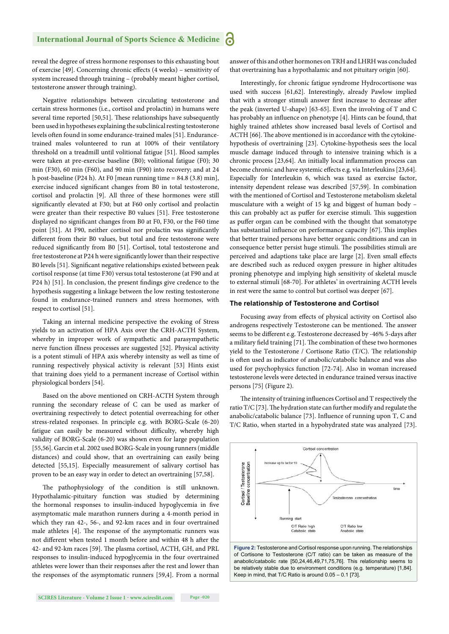reveal the degree of stress hormone responses to this exhausting bout of exercise [49]. Concerning chronic effects (4 weeks) - sensitivity of system increased through training – (probably meant higher cortisol, testosterone answer through training).

Negative relationships between circulating testosterone and certain stress hormones (i.e., cortisol and prolactin) in humans were several time reported [50,51]. These relationships have subsequently been used in hypotheses explaining the subclinical resting testosterone levels often found in some endurance-trained males [51]. Endurancetrained males volunteered to run at 100% of their ventilatory threshold on a treadmill until volitional fatigue [51]. Blood samples were taken at pre-exercise baseline (B0); volitional fatigue (F0); 30 min (F30), 60 min (F60), and 90 min (F90) into recovery; and at 24 h post-baseline (P24 h). At F0 [mean running time = 84.8 (3.8) min], exercise induced significant changes from B0 in total testosterone, cortisol and prolactin [9]. All three of these hormones were still significantly elevated at F30; but at F60 only cortisol and prolactin were greater than their respective B0 values [51]. Free testosterone displayed no significant changes from B0 at F0, F30, or the F60 time point [51]. At F90, neither cortisol nor prolactin was significantly different from their B0 values, but total and free testosterone were reduced significantly from B0 [51]. Cortisol, total testosterone and free testosterone at P24 h were significantly lower than their respective B0 levels [51]. Significant negative relationships existed between peak cortisol response (at time F30) versus total testosterone (at F90 and at P24 h) [51]. In conclusion, the present findings give credence to the hypothesis suggesting a linkage between the low resting testosterone found in endurance-trained runners and stress hormones, with respect to cortisol [51].

Taking an internal medicine perspective the evoking of Stress yields to an activation of HPA Axis over the CRH-ACTH System, whereby in improper work of sympathetic and parasympathetic nerve function illness processes are suggested [52]. Physical activity is a potent stimuli of HPA axis whereby intensity as well as time of running respectively physical activity is relevant [53] Hints exist that training does yield to a permanent increase of Cortisol within physiological borders [54].

Based on the above mentioned on CRH-ACTH System through running the secondary release of C can be used as marker of overtraining respectively to detect potential overreaching for other stress-related responses. In principle e.g. with BORG-Scale (6-20) fatigue can easily be measured without difficulty, whereby high validity of BORG-Scale (6-20) was shown even for large population [55,56]. Garcin et al. 2002 used BORG-Scale in young runners (middle distances) and could show, that an overtraining can easily being detected [55,15]. Especially measurement of salivary cortisol has proven to be an easy way in order to detect an overtraining [57,58].

The pathophysiology of the condition is still unknown. Hypothalamic-pituitary function was studied by determining the hormonal responses to insulin-induced hypoglycemia in five asymptomatic male marathon runners during a 4-month period in which they ran 42-, 56-, and 92-km races and in four overtrained male athletes [4]. The response of the asymptomatic runners was not different when tested 1 month before and within 48 h after the 42- and 92-km races [59]. The plasma cortisol, ACTH, GH, and PRL responses to insulin-induced hypoglycemia in the four overtrained athletes were lower than their responses after the rest and lower than the responses of the asymptomatic runners [59,4]. From a normal

**SCIRES Literature - Volume 2 Issue 1 - www.scireslit.com Page -020**

answer of this and other hormones on TRH and LHRH was concluded that overtraining has a hypothalamic and not pituitary origin [60].

Interestingly, for chronic fatigue syndrome Hydrocortisone was used with success [61,62]. Interestingly, already Pawlow implied that with a stronger stimuli answer first increase to decrease after the peak (inverted U-shape) [63-65]. Even the involving of T and C has probably an influence on phenotype [4]. Hints can be found, that highly trained athletes show increased basal levels of Cortisol and ACTH [66]. The above mentioned is in accordance with the cytokinehypothesis of overtraining [23]. Cytokine-hypothesis sees the local muscle damage induced through to intensive training which is a chronic process [23,64]. An initially local inflammation process can become chronic and have systemic effects e.g. via Interleukins [23,64]. Especially for Interleukin 6, which was taxed as exercise factor, intensity dependent release was described [57,59]. In combination with the mentioned of Cortisol and Testosterone metabolism skeletal musculature with a weight of 15 kg and biggest of human body – this can probably act as puffer for exercise stimuli. This suggestion as puffer organ can be combined with the thought that somatotype has substantial influence on performance capacity [67]. This implies that better trained persons have better organic conditions and can in consequence better persist huge stimuli. The possibilities stimuli are perceived and adaptions take place are large [2]. Even small effects are described such as reduced oxygen pressure in higher altitudes proning phenotype and implying high sensitivity of skeletal muscle to external stimuli [68-70]. For athletes' in overtraining ACTH levels in rest were the same to control but cortisol was deeper [67].

#### **The relationship of Testosterone and Cortisol**

Focusing away from effects of physical activity on Cortisol also androgens respectively Testosterone can be mentioned. The answer seems to be different e.g. Testosterone decreased by -46% 5-days after a military field training [71]. The combination of these two hormones yield to the Testosterone / Cortisone Ratio  $(T/C)$ . The relationship is often used as indicator of anabolic/catabolic balance and was also used for psychophysics function [72-74]. Also in woman increased testosterone levels were detected in endurance trained versus inactive persons [75] (Figure 2).

The intensity of training influences Cortisol and T respectively the ratio T/C [73]. The hydration state can further modify and regulate the anabolic/catabolic balance  $[73]$ . Influence of running upon T, C and T/C Ratio, when started in a hypohydrated state was analyzed [73].



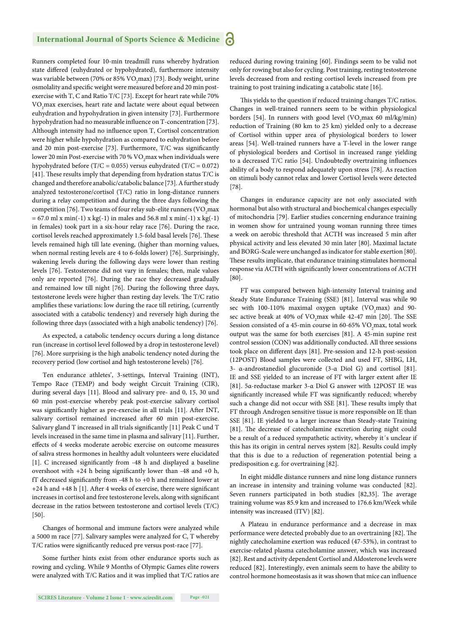Runners completed four 10-min treadmill runs whereby hydration state differed (euhydrated or hypohydrated), furthermore intensity was variable between (70% or 85%  $\rm VO_{2}max$ ) [73]. Body weight, urine osmolality and specific weight were measured before and 20 min postexercise with T, C and Ratio T/C [73]. Except for heart rate while 70%  $\rm VO_{2}$ max exercises, heart rate and lactate were about equal between euhydration and hypohydration in given intensity [73]. Furthermore hypohydration had no measurable influence on T-concentration [73]. Although intensity had no influence upon T, Cortisol concentration were higher while hypohydration as compared to euhydration before and 20 min post-exercise [73]. Furthermore, T/C was significantly lower 20 min Post-exercise with 70 %  $\rm VO_{2}$  max when individuals were hypohydrated before (T/C = 0.055) versus euhydrated (T/C = 0.072) [41]. These results imply that depending from hydration status T/C is changed and therefore anabolic/catabolic balance [73]. A further study analyzed testosterone/cortisol (T/C) ratio in long-distance runners during a relay competition and during the three days following the competition [76]. Two teams of four relay sub-elite runners (VO<sub>2</sub>max  $= 67.0$  ml x min(-1) x kg(-1) in males and 56.8 ml x min(-1) x kg(-1) in females) took part in a six-hour relay race [76]. During the race, cortisol levels reached approximately 1.5-fold basal levels [76]. These levels remained high till late evening, (higher than morning values, when normal resting levels are 4 to 6-folds lower) [76]. Surprisingly, wakening levels during the following days were lower than resting levels [76]. Testosterone did not vary in females; then, male values only are reported [76]. During the race they decreased gradually and remained low till night [76]. During the following three days, testosterone levels were higher than resting day levels. The T/C ratio amplifies these variations: low during the race till retiring, (currently associated with a catabolic tendency) and reversely high during the following three days (associated with a high anabolic tendency) [76].

As expected, a catabolic tendency occurs during a long distance run (increase in cortisol level followed by a drop in testosterone level) [76]. More surprising is the high anabolic tendency noted during the recovery period (low cortisol and high testosterone levels) [76].

Ten endurance athletes', 3-settings, Interval Training (INT), Tempo Race (TEMP) and body weight Circuit Training (CIR), during several days [11]. Blood and salivary pre- and 0, 15, 30 und 60 min post-exercise whereby peak post-exercise salivary cortisol was significantly higher as pre-exercise in all trials [11]. After INT, salivary cortisol remained increased after 60 min post-exercise. Salivary gland T increased in all trials significantly [11] Peak C und T levels increased in the same time in plasma and salivary [11]. Further, effects of 4 weeks moderate aerobic exercise on outcome measures of saliva stress hormones in healthy adult volunteers were elucidated [1]. C increased significantly from -48 h and displayed a baseline overshoot with  $+24$  h being significantly lower than  $-48$  and  $+0$  h, fT decreased significantly from -48 h to +0 h and remained lower at  $+24$  h and  $+48$  h [1]. After 4 weeks of exercise, there were significant increases in cortisol and free testosterone levels, along with significant decrease in the ratios between testosterone and cortisol levels (T/C) [50].

Changes of hormonal and immune factors were analyzed while a 5000 m race [77]. Salivary samples were analyzed for C, T whereby T/C ratios were significantly reduced pre versus post-race [77].

Some further hints exist from other endurance sports such as rowing and cycling. While 9 Months of Olympic Games elite rowers were analyzed with T/C Ratios and it was implied that T/C ratios are reduced during rowing training [60]. Findings seem to be valid not only for rowing but also for cycling. Post training, resting testosterone levels decreased from and resting cortisol levels increased from pre training to post training indicating a catabolic state [16].

This yields to the question if reduced training changes T/C ratios. Changes in well-trained runners seem to be within physiological borders [54]. In runners with good level  $(\rm VO_{2}max\ 60\ ml/kg/min)$ reduction of Training (80 km to 25 km) yielded only to a decrease of Cortisol within upper area of physiological borders to lower areas [54]. Well-trained runners have a T-level in the lower range of physiological borders and Cortisol in increased range yielding to a decreased  $T/C$  ratio [54]. Undoubtedly overtraining influences ability of a body to respond adequately upon stress [78]. As reaction on stimuli body cannot relax and lower Cortisol levels were detected [78].

Changes in endurance capacity are not only associated with hormonal but also with structural and biochemical changes especially of mitochondria [79]. Earlier studies concerning endurance training in women show for untrained young woman running three times a week on aerobic threshold that ACTH was increased 5 min after physical activity and less elevated 30 min later [80]. Maximal lactate and BORG-Scale were unchanged as indicator for stable exertion [80]. These results implicate, that endurance training stimulates hormonal response via ACTH with significantly lower concentrations of ACTH [80].

FT was compared between high-intensity Interval training and Steady State Endurance Training (SSE) [81]. Interval was while 90 sec with 100-110% maximal oxygen uptake  $(VO_2$ max) and 90sec active break at 40% of  $VO<sub>2</sub>$  max while 42-47 min [20]. The SSE Session consisted of a 45-min course in 60-65%  $\rm VO_{2}$ max, total work output was the same for both exercises [81]. A 45-min supine rest control session (CON) was additionally conducted. All three sessions took place on different days [81]. Pre-session and 12-h post-session (12POST) Blood samples were collected and used FT, SHBG, LH, 3- α-androstanediol glucuronide (3-α Diol G) and cortisol [81]. IE and SSE yielded to an increase of FT with larger extent after IE [81]. 5α-reductase marker 3-α Diol G answer with 12POST IE was significantly increased while FT was significantly reduced; whereby such a change did not occur with SSE [81]. These results imply that FT through Androgen sensitive tissue is more responsible on IE than SSE [81]. IE yielded to a larger increase than Steady-state Training [81]. The decrease of catecholamine excretion during night could be a result of a reduced sympathetic activity, whereby it´s unclear if this has its origin in central nerves system [82]. Results could imply that this is due to a reduction of regeneration potential being a predisposition e.g. for overtraining [82].

In eight middle distance runners and nine long distance runners an increase in intensity and training volume was conducted [82]. Seven runners participated in both studies [82,35]. The average training volume was 85.9 km and increased to 176.6 km/Week while intensity was increased (ITV) [82].

A Plateau in endurance performance and a decrease in max performance were detected probably due to an overtraining [82]. The nightly catecholamine exertion was reduced (47-53%), in contrast to exercise-related plasma catecholamine answer, which was increased [82]. Rest and activity dependent Cortisol and Aldosterone levels were reduced [82]. Interestingly, even animals seem to have the ability to control hormone homeostasis as it was shown that mice can influence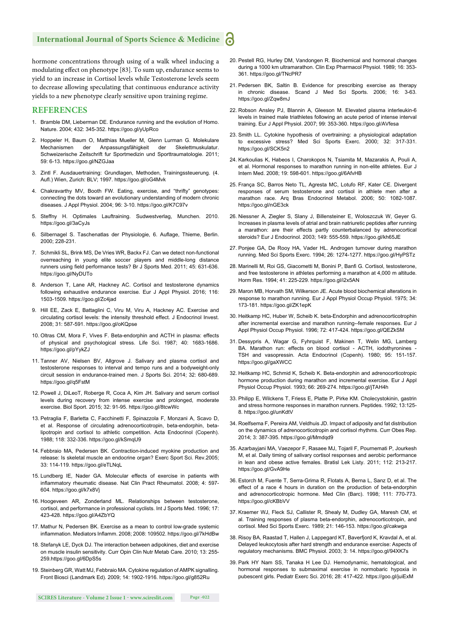hormone concentrations through using of a walk wheel inducing a modulating effect on phenotype [83]. To sum up, endurance seems to yield to an increase in Cortisol levels while Testosterone levels seem to decrease allowing speculating that continuous endurance activity yields to a new phenotype clearly sensitive upon training regime.

#### **REFERENCES**

- 1. Bramble DM, Lieberman DE. Endurance running and the evolution of Homo. Nature. 2004; 432: 345-352. https://goo.gl/yUpRco
- 2. Hoppeler H, Baum O, Matthias Mueller M, Glenn Lurman G. Molekulare Mechanismen der Anpassungsfähigkeit der Skelettmuskulatur. Schweizerische Zeitschrift fur Sportmedizin und Sporttraumatologie. 2011; 59: 6-13. https://goo.gl/NZGJaa
- 3. Zintl F. Ausdauertraining: Grundlagen, Methoden, Trainingssteuerung. (4. Aufl .) Wien, Zurich: BLV; 1997. https://goo.gl/oG4Mvk
- 4. Chakravarthy MV, Booth FW. Eating, exercise, and "thrifty" genotypes: connecting the dots toward an evolutionary understanding of modern chronic diseases. J Appl Physiol. 2004; 96: 3-10. https://goo.gl/K7C97v
- 5. Steffny H. Optimales Lauftraining. Sudwestverlag, Munchen. 2010. https://goo.gl/3aCyJs
- 6. Silbernagel S. Taschenatlas der Physiologie, 6. Auflage, Thieme, Berlin. 2000; 228-231.
- 7. Schmikli SL, Brink MS, De Vries WR, Backx FJ. Can we detect non-functional overreaching in young elite soccer players and middle-long distance runners using field performance tests? Br J Sports Med. 2011; 45: 631-636. https://goo.gl/NyDUTo
- 8. Anderson T, Lane AR, Hackney AC. Cortisol and testosterone dynamics following exhaustive endurance exercise. Eur J Appl Physiol. 2016; 116: 1503-1509. https://goo.gl/Zc4jad
- 9. Hill EE, Zack E, Battaglini C, Viru M, Viru A, Hackney AC. Exercise and circulating cortisol levels: the intensity threshold effect. J Endocrinol Invest. 2008; 31: 587-591. https://goo.gl/oKQpse
- 10. Oltras CM, Mora F, Vives F. Beta-endorphin and ACTH in plasma: effects of physical and psychological stress. Life Sci. 1987; 40: 1683-1686. https://goo.gl/pYykZJ
- 11. Tanner AV, Nielsen BV, Allgrove J. Salivary and plasma cortisol and testosterone responses to interval and tempo runs and a bodyweight-only circuit session in endurance-trained men. J Sports Sci. 2014; 32: 680-689. https://goo.gl/q5FstM
- 12. Powell J, DiLeoT, Roberge R, Coca A, Kim JH. Salivary and serum cortisol levels during recovery from intense exercise and prolonged, moderate exercise. Biol Sport. 2015; 32: 91-95. https://goo.gl/8tcwWc
- 13. Petraglia F, Barletta C, Facchinetti F, Spinazzola F, Monzani A, Scavo D, et al. Response of circulating adrenocorticotropin, beta-endorphin, betalipotropin and cortisol to athletic competition. Acta Endocrinol (Copenh). 1988; 118: 332-336. https://goo.gl/kSmqU9
- 14. Febbraio MA, Pedersen BK. Contraction-induced myokine production and release: Is skeletal muscle an endocrine organ? Exerc Sport Sci. Rev.2005; 33: 114-119. https://goo.gl/eTLNqL
- 15. Lundberg IE, Nader GA. Molecular effects of exercise in patients with inflammatory rheumatic disease. Nat Clin Pract Rheumatol. 2008; 4: 597-604. https://goo.gl/k7x8Vj
- 16. Hoogeveen AR, Zonderland ML. Relationships between testosterone, cortisol, and performance in professional cyclists. Int J Sports Med. 1996; 17: 423-428. https://goo.gl/A4ZbYQ
- 17. Mathur N, Pedersen BK. Exercise as a mean to control low-grade systemic inflammation. Mediators Inflamm. 2008; 2008: 109502. https://goo.gl/7kHdBw
- 18. Stefanyk LE, Dyck DJ. The interaction between adipokines, diet and exercise on muscle insulin sensitivity. Curr Opin Clin Nutr Metab Care. 2010; 13: 255- 259.https://goo.gl/6DpS5s
- 19. Steinberg GR, Watt MJ, Febbraio MA. Cytokine regulation of AMPK signalling. Front Biosci (Landmark Ed). 2009; 14: 1902-1916. https://goo.gl/g852Ru
- 20. Pestell RG, Hurley DM, Vandongen R. Biochemical and hormonal changes during a 1000 km ultramarathon. Clin Exp Pharmacol Physiol. 1989; 16: 353- 361. https://goo.gl/TNcPR7
- 21. Pedersen BK, Saltin B. Evidence for prescribing exercise as therapy in chronic disease. Scand J Med Sci Sports. 2006; 16: 3-63. https://goo.gl/Zqw8mJ
- 22. Robson Ansley PJ, Blannin A, Gleeson M. Elevated plasma interleukin-6 levels in trained male triathletes following an acute period of intense interval training. Eur J Appl Physiol. 2007; 99: 353-360. https://goo.gl/AVfesa
- 23. Smith LL. Cytokine hypothesis of overtraining: a physiological adaptation to excessive stress? Med Sci Sports Exerc. 2000; 32: 317-331. https://goo.gl/SCK5n2
- 24. Karkoulias K, Habeos I, Charokopos N, Tsiamita M, Mazarakis A, Pouli A, et al. Hormonal responses to marathon running in non-elite athletes. Eur J Intern Med. 2008; 19: 598-601. https://goo.gl/6AfvHB
- 25. França SC, Barros Neto TL, Agresta MC, Lotufo RF, Kater CE. Divergent responses of serum testosterone and cortisol in athlete men after a marathon race. Arq Bras Endocrinol Metabol. 2006; 50: 1082-1087. https://goo.gl/nGE3ck
- 26. Niessner A, Ziegler S, Slany J, Billensteiner E, Woloszczuk W, Geyer G. Increases in plasma levels of atrial and brain natriuretic peptides after running a marathon: are their effects partly counterbalanced by adrenocortical steroids? Eur J Endocrinol. 2003; 149: 555-559. https://goo.gl/kh65JE
- 27. Ponjee GA, De Rooy HA, Vader HL. Androgen turnover during marathon running. Med Sci Sports Exerc. 1994; 26: 1274-1277. https://goo.gl/HyPSTz
- 28. Marinelli M, Roi GS, Giacometti M, Bonini P, Banfi G. Cortisol, testosterone, and free testosterone in athletes performing a marathon at 4,000 m altitude. Horm Res. 1994; 41: 225-229. https://goo.gl/i2x5AN
- 29. Maron MB, Horvath SM, Wilkerson JE. Acute blood biochemical alterations in response to marathon running. Eur J Appl Physiol Occup Physiol. 1975; 34: 173-181. https://goo.gl/ZK1epK
- 30. Heitkamp HC, Huber W, Scheib K. beta-Endorphin and adrenocorticotrophin after incremental exercise and marathon running--female responses. Eur J Appl Physiol Occup Physiol. 1996; 72: 417-424. https://goo.gl/QEZkSM
- 31. Dessypris A, Wagar G, Fyhrquist F, Makinen T, Welin MG, Lamberg BA. Marathon run: effects on blood cortisol - ACTH, iodothyronines -TSH and vasopressin. Acta Endocrinol (Copenh). 1980; 95: 151-157. https://goo.gl/gaXWCC
- 32. Heitkamp HC, Schmid K, Scheib K. Beta-endorphin and adrenocorticotropic hormone production during marathon and incremental exercise. Eur J Appl Physiol Occup Physiol. 1993; 66: 269-274. https://goo.gl/jTAH4h
- 33. Philipp E, Wilckens T, Friess E, Platte P, Pirke KM. Cholecystokinin, gastrin and stress hormone responses in marathon runners. Peptides. 1992; 13:125- 8. https://goo.gl/unKdtV
- 34. Roelfsema F, Pereira AM, Veldhuis JD. Impact of adiposity and fat distribution on the dynamics of adrenocorticotropin and cortisol rhythms. Curr Obes Rep. 2014; 3: 387-395. https://goo.gl/Mmdqd9
- 35. Azarbayjani MA, Vaezepor F, Rasaee MJ, Tojaril F, Pournemati P, Jourkesh M, et al. Daily timing of salivary cortisol responses and aerobic performance in lean and obese active females. Bratisl Lek Listy. 2011; 112: 213-217. https://goo.gl/GvA9He
- 36. Estorch M, Fuente T, Serra-Grima R, Flotats A, Berna L, Sanz D, et al. The effect of a race 4 hours in duration on the production of beta-endorphin and adrenocorticotropic hormone. Med Clin (Barc). 1998; 111: 770-773. https://goo.gl/cKBbVV
- 37. Kraemer WJ, Fleck SJ, Callister R, Shealy M, Dudley GA, Maresh CM, et al. Training responses of plasma beta-endorphin, adrenocorticotropin, and cortisol. Med Sci Sports Exerc. 1989; 21: 146-153. https://goo.gl/cakwga
- 38. Risoy BA, Raastad T, Hallen J, Lappegard KT, Baverfjord K, Kravdal A, et al. Delayed leukocytosis after hard strength and endurance exercise: Aspects of regulatory mechanisms. BMC Physiol. 2003; 3: 14. https://goo.gl/94XK7s
- 39. Park HY Nam SS, Tanaka H Lee DJ. Hemodynamic, hematological, and hormonal responses to submaximal exercise in normobaric hypoxia in pubescent girls. Pediatr Exerc Sci. 2016; 28: 417-422. https://goo.gl/juiExM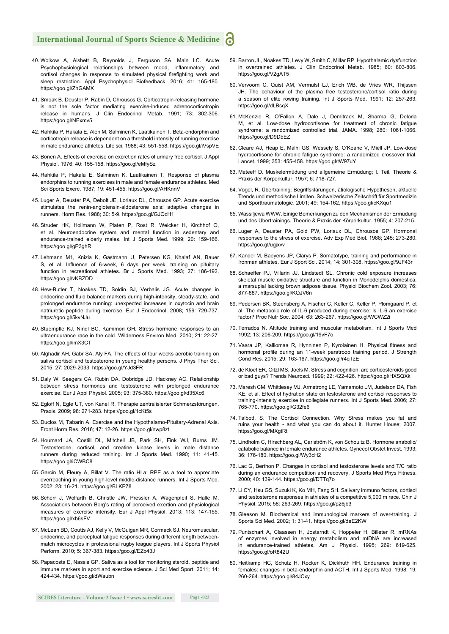- 40. Wolkow A, Aisbett B, Reynolds J, Ferguson SA, Main LC. Acute Psychophysiological relationships between mood, inflammatory and cortisol changes in response to simulated physical firefighting work and sleep restriction. Appl Psychophysiol Biofeedback. 2016; 41: 165-180. https://goo.gl/ZhGAMX
- 41. Smoak B, Deuster P, Rabin D, Chrousos G. Corticotropin-releasing hormone is not the sole factor mediating exercise-induced adrenocorticotropin release in humans. J Clin Endocrinol Metab. 1991; 73: 302-306. https://goo.gl/NExmv5
- 42. Rahkila P, Hakala E, Alen M, Salminen K, Laatikainen T. Beta-endorphin and corticotropin release is dependent on a threshold intensity of running exercise in male endurance athletes. Life sci. 1988; 43: 551-558. https://goo.gl/iVspVE
- 43. Bonen A. Effects of exercise on excretion rates of urinary free cortisol. J Appl Physiol. 1976; 40: 155-158. https://goo.gl/eMfySz
- 44. Rahkila P, Hakala E, Salminen K, Laatikainen T. Response of plasma endorphins to running exercises in male and female endurance athletes. Med Sci Sports Exerc. 1987; 19: 451-455. https://goo.gl/AHKnnV
- 45. Luger A, Deuster PA, Debolt JE, Loriaux DL, Chrousos GP. Acute exercise stimulates the renin-angiotensin-aldosterone axis: adaptive changes in runners. Horm Res. 1988; 30: 5-9. https://goo.gl/GJQcH1
- 46. Struder HK, Hollmann W, Platen P, Rost R, Weicker H, Kirchhof O, et al. Neuroendocrine system and mental function in sedentary and endurance-trained elderly males. Int J Sports Med. 1999; 20: 159-166. https://goo.gl/gP3ghR
- 47. Lehmann M1, Knizia K, Gastmann U, Petersen KG, Khalaf AN, Bauer S, et al. Influence of 6-week, 6 days per week, training on pituitary function in recreational athletes. Br J Sports Med. 1993; 27: 186-192. https://goo.gl/vKBZDD
- 48. Hew-Butler T, Noakes TD, Soldin SJ, Verbalis JG. Acute changes in endocrine and fluid balance markers during high-intensity, steady-state, and prolonged endurance running: unexpected increases in oxytocin and brain natriuretic peptide during exercise. Eur J Endocrinol. 2008; 159: 729-737. https://goo.gl/5kvNJu
- 49. Stuempfle KJ, Nindl BC, Kamimori GH. Stress hormone responses to an ultraendurance race in the cold. Wilderness Environ Med. 2010; 21: 22-27. https://goo.gl/imX3CT
- 50. Alghadir AH, Gabr SA, Aly FA. The effects of four weeks aerobic training on saliva cortisol and testosterone in young healthy persons. J Phys Ther Sci. 2015; 27: 2029-2033. https://goo.gl/YJd3FR
- 51. Daly W, Seegers CA, Rubin DA, Dobridge JD, Hackney AC. Relationship between stress hormones and testosterone with prolonged endurance exercise. Eur J Appl Physiol. 2005; 93: 375-380. https://goo.gl/d35Xc6
- 52. Egloff N, Egle UT, von Kanel R. Therapie zentralisierter Schmerzstörungen. Praxis. 2009; 98: 271-283. https://goo.gl/1cKt5s
- 53. Duclos M, Tabarin A. Exercise and the Hypothalamo-Pituitary-Adrenal Axis. Front Horm Res. 2016; 47: 12-26. https://goo.gl/nwp8zt
- 54. Houmard JA, Costill DL, Mitchell JB, Park SH, Fink WJ, Burns JM. Testosterone, cortisol, and creatine kinase levels in male distance runners during reduced training. Int J Sports Med. 1990; 11: 41-45. https://goo.gl/iCWBC8
- 55. Garcin M, Fleury A, Billat V. The ratio HLa: RPE as a tool to appreciate overreaching in young high-level middle-distance runners. Int J Sports Med. 2002; 23: 16-21. https://goo.gl/BLKP78
- 56. Scherr J, Wolfarth B, Christle JW, Pressler A, Wagenpfeil S, Halle M. Associations between Borg's rating of perceived exertion and physiological measures of exercise intensity. Eur J Appl Physiol. 2013; 113: 147-155. https://goo.gl/xb6sFV
- 57. McLean BD, Coutts AJ, Kelly V, McGuigan MR, Cormack SJ. Neuromuscular, endocrine, and perceptual fatigue responses during different length betweenmatch microcycles in professional rugby league players. Int J Sports Physiol Perform. 2010; 5: 367-383. https://goo.gl/EZb43J
- 58. Papacosta E, Nassis GP. Saliva as a tool for monitoring steroid, peptide and immune markers in sport and exercise science. J Sci Med Sport. 2011; 14: 424-434. https://goo.gl/dWaubn
- 59. Barron JL, Noakes TD, Levy W, Smith C, Millar RP. Hypothalamic dysfunction in overtrained athletes. J Clin Endocrinol Metab. 1985; 60: 803-806. https://goo.gl/V2gAT5
- 60. Vervoorn C, Quist AM, Vermulst LJ, Erich WB, de Vries WR, Thijssen JH. The behaviour of the plasma free testosterone/cortisol ratio during a season of elite rowing training. Int J Sports Med. 1991; 12: 257-263. https://goo.gl/dLBsqX
- 61. McKenzie R, O'Fallon A, Dale J, Demitrack M, Sharma G, Deloria M, et al. Low-dose hydrocortisone for treatment of chronic fatigue syndrome: a randomized controlled trial. JAMA. 1998; 280: 1061-1066. https://goo.gl/D9DbEZ
- 62. Cleare AJ, Heap E, Malhi GS, Wessely S, O'Keane V, Miell JP. Low-dose hydrocortisone for chronic fatigue syndrome: a randomized crossover trial. Lancet. 1999; 353: 455-458. https://goo.gl/tW97uY
- 63. Mateeff D. Muskelermüdung und allgemeine Ermüdung; I. Teil. Theorie & Praxis der Körperkultur. 1957; 6: 718-727.
- 64. Vogel, R. Übertraining: Begriffsklärungen, ätiologische Hypothesen, aktuelle Trends und methodische Limiten. Schweizerische Zeitschrift für Sportmedizin und Sporttraumatologie. 2001; 49: 154-162. https://goo.gl/cKXqu1
- 65. Wassiljewa WWW. Einige Bemerkungen zu den Mechanismen der Ermüdung und des Übertrainings. Theorie & Praxis der Körperkultur. 1955; 4: 207-215.
- 66. Luger A, Deuster PA, Gold PW, Loriaux DL, Chrousos GP. Hormonal responses to the stress of exercise. Adv Exp Med Biol. 1988; 245: 273-280. https://goo.gl/ugjxvv
- 67. Kandel M, Baeyens JP, Clarys P. Somatotype, training and performance in Ironman athletes. Eur J Sport Sci. 2014; 14: 301-308. https://goo.gl/9JF43r
- 68. Schaeffer PJ, Villarin JJ, Lindstedt SL. Chronic cold exposure increases skeletal muscle oxidative structure and function in Monodelphis domestica, a marsupial lacking brown adipose tissue. Physiol Biochem Zool. 2003; 76: 877-887. https://goo.gl/KQJV6n
- 69. Pedersen BK, Steensberg A, Fischer C, Keller C, Keller P, Plomgaard P, et al. The metabolic role of IL-6 produced during exercise: is IL-6 an exercise factor? Proc Nutr Soc. 2004; 63: 263-267. https://goo.gl/WCWZ2i
- 70. Terrados N. Altitude training and muscular metabolism. Int J Sports Med 1992; 13: 206-209. https://goo.gl/19vF7o
- 71. Vaara JP, Kalliomaa R, Hynninen P, Kyrolainen H. Physical fitness and hormonal profile during an 11-week paratroop training period. J Strength Cond Res. 2015; 29: 163-167. https://goo.gl/r4qTzE
- 72. de Kloet ER, Oitzl MS, Joels M. Stress and cognition: are corticosteroids good or bad guys? Trends Neurosci. 1999; 22: 422-426. https://goo.gl/HXSQXk
- 73. Maresh CM, Whittlesey MJ, Armstrong LE, Yamamoto LM, Judelson DA, Fish KE, et al. Effect of hydration state on testosterone and cortisol responses to training-intensity exercise in collegiate runners. Int J Sports Med. 2006; 27: 765-770. https://goo.gl/G32fe6
- 74. Talbott, S. The Cortisol Connection. Why Stress makes you fat and ruins your health - and what you can do about it. Hunter House; 2007. https://goo.gl/MXgtRt
- 75. Lindholm C, Hirschberg AL, Carlström K, von Schoultz B. Hormone anabolic/ catabolic balance in female endurance athletes. Gynecol Obstet Invest. 1993; 36: 176-180. https://goo.gl/Wy3cH2
- 76. Lac G, Berthon P. Changes in cortisol and testosterone levels and T/C ratio during an endurance competition and recovery. J Sports Med Phys Fitness. 2000; 40: 139-144. https://goo.gl/DTTq7o
- 77. Li CY, Hsu GS, Suzuki K, Ko MH, Fang SH. Salivary immuno factors, cortisol and testosterone responses in athletes of a competitive 5,000 m race. Chin J Physiol. 2015; 58: 263-269. https://goo.gl/p26jb3
- 78. Gleeson M. Biochemical and immunological markers of over-training. J Sports Sci Med. 2002; 1: 31-41. https://goo.gl/deE2KW
- 79. Puntschart A, Claassen H, Jostarndt K, Hoppeler H, Billeter R. mRNAs of enzymes involved in energy metabolism and mtDNA are increased in endurance-trained athletes. Am J Physiol. 1995; 269: 619-625. https://goo.gl/oR842U
- 80. Heitkamp HC, Schulz H, Rocker K, Dickhuth HH. Endurance training in females: changes in beta-endorphin and ACTH. Int J Sports Med. 1998; 19: 260-264. https://goo.gl/84JCxy